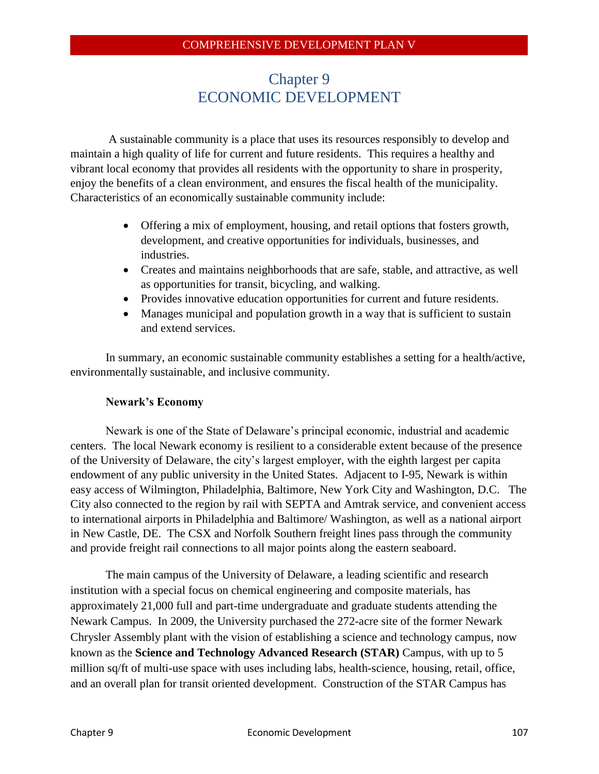# Chapter 9 ECONOMIC DEVELOPMENT

A sustainable community is a place that uses its resources responsibly to develop and maintain a high quality of life for current and future residents. This requires a healthy and vibrant local economy that provides all residents with the opportunity to share in prosperity, enjoy the benefits of a clean environment, and ensures the fiscal health of the municipality. Characteristics of an economically sustainable community include:

- Offering a mix of employment, housing, and retail options that fosters growth, development, and creative opportunities for individuals, businesses, and industries.
- Creates and maintains neighborhoods that are safe, stable, and attractive, as well as opportunities for transit, bicycling, and walking.
- Provides innovative education opportunities for current and future residents.
- Manages municipal and population growth in a way that is sufficient to sustain and extend services.

In summary, an economic sustainable community establishes a setting for a health/active, environmentally sustainable, and inclusive community.

# **Newark's Economy**

Newark is one of the State of Delaware's principal economic, industrial and academic centers. The local Newark economy is resilient to a considerable extent because of the presence of the University of Delaware, the city's largest employer, with the eighth largest per capita endowment of any public university in the United States. Adjacent to I-95, Newark is within easy access of Wilmington, Philadelphia, Baltimore, New York City and Washington, D.C. The City also connected to the region by rail with SEPTA and Amtrak service, and convenient access to international airports in Philadelphia and Baltimore/ Washington, as well as a national airport in New Castle, DE. The CSX and Norfolk Southern freight lines pass through the community and provide freight rail connections to all major points along the eastern seaboard.

The main campus of the University of Delaware, a leading scientific and research institution with a special focus on chemical engineering and composite materials, has approximately 21,000 full and part-time undergraduate and graduate students attending the Newark Campus. In 2009, the University purchased the 272-acre site of the former Newark Chrysler Assembly plant with the vision of establishing a science and technology campus, now known as the **Science and Technology Advanced Research (STAR)** Campus, with up to 5 million sq/ft of multi-use space with uses including labs, health-science, housing, retail, office, and an overall plan for transit oriented development. Construction of the STAR Campus has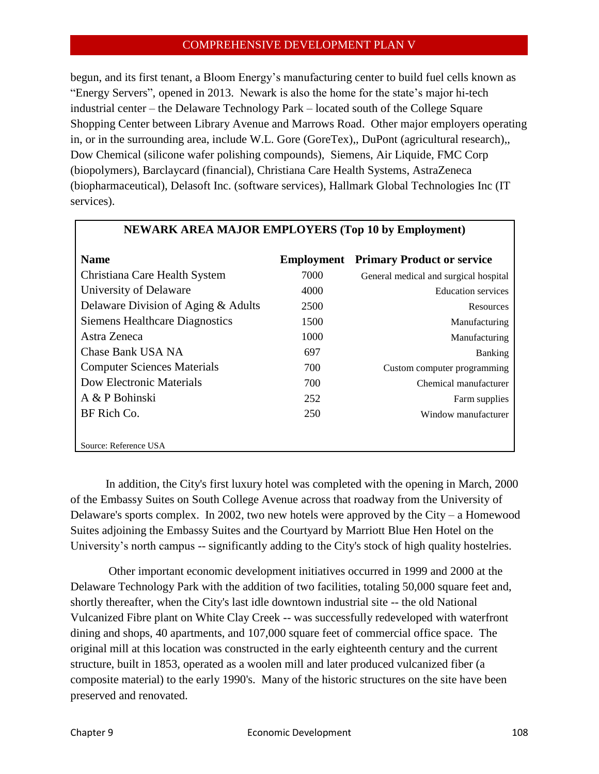begun, and its first tenant, a Bloom Energy's manufacturing center to build fuel cells known as "Energy Servers", opened in 2013. Newark is also the home for the state's major hi-tech industrial center – the Delaware Technology Park – located south of the College Square Shopping Center between Library Avenue and Marrows Road. Other major employers operating in, or in the surrounding area, include [W.L. Gore](http://www.gore.com/) (GoreTex),, [DuPont](http://www.dupont.com/) (agricultural research),, [Dow](http://www.dow.com/newark/index.htm) Chemical (silicone wafer polishing compounds), [Siemens,](http://www.siemens.com/entry/cc/en/) [Air Liquide,](http://www.airliquide.com/en/home.html) [FMC Corp](http://www.fmc.com/) (biopolymers), [Barclaycard](https://www.barclaycardus.com/) (financial), [Christiana Care Health Systems,](http://www.christianacare.org/) [AstraZeneca](http://www.astrazeneca.com/) (biopharmaceutical), [Delasoft Inc.](http://www.delasoft.com/) (software services), [Hallmark Global Technologies Inc](http://www.hgtechinc.net/) (IT [services\).](http://www.hgtechinc.net/)

| <b>Name</b>                           | Employment | <b>Primary Product or service</b>     |
|---------------------------------------|------------|---------------------------------------|
| Christiana Care Health System         | 7000       | General medical and surgical hospital |
| University of Delaware                | 4000       | <b>Education services</b>             |
| Delaware Division of Aging & Adults   | 2500       | <b>Resources</b>                      |
| <b>Siemens Healthcare Diagnostics</b> | 1500       | Manufacturing                         |
| Astra Zeneca                          | 1000       | Manufacturing                         |
| Chase Bank USA NA                     | 697        | <b>Banking</b>                        |
| <b>Computer Sciences Materials</b>    | 700        | Custom computer programming           |
| Dow Electronic Materials              | 700        | Chemical manufacturer                 |
| A & P Bohinski                        | 252        | Farm supplies                         |
| BF Rich Co.                           | 250        | Window manufacturer                   |
|                                       |            |                                       |
| Source: Reference USA                 |            |                                       |

#### **NEWARK AREA MAJOR EMPLOYERS (Top 10 by Employment)**

In addition, the City's first luxury hotel was completed with the opening in March, 2000 of the Embassy Suites on South College Avenue across that roadway from the University of Delaware's sports complex. In 2002, two new hotels were approved by the City – a Homewood Suites adjoining the Embassy Suites and the Courtyard by Marriott Blue Hen Hotel on the University's north campus -- significantly adding to the City's stock of high quality hostelries.

Other important economic development initiatives occurred in 1999 and 2000 at the Delaware Technology Park with the addition of two facilities, totaling 50,000 square feet and, shortly thereafter, when the City's last idle downtown industrial site -- the old National Vulcanized Fibre plant on White Clay Creek -- was successfully redeveloped with waterfront dining and shops, 40 apartments, and 107,000 square feet of commercial office space. The original mill at this location was constructed in the early eighteenth century and the current structure, built in 1853, operated as a woolen mill and later produced vulcanized fiber (a composite material) to the early 1990's. Many of the historic structures on the site have been preserved and renovated.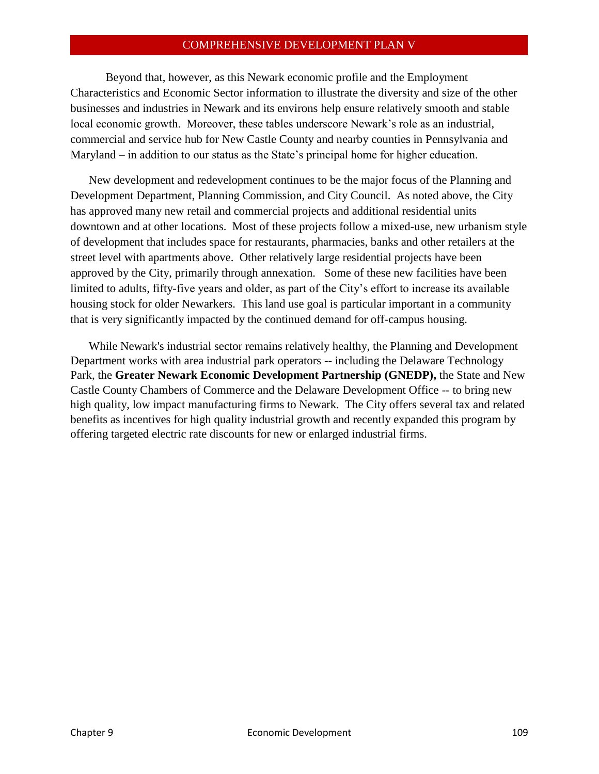Beyond that, however, as this Newark economic profile and the Employment Characteristics and Economic Sector information to illustrate the diversity and size of the other businesses and industries in Newark and its environs help ensure relatively smooth and stable local economic growth. Moreover, these tables underscore Newark's role as an industrial, commercial and service hub for New Castle County and nearby counties in Pennsylvania and Maryland – in addition to our status as the State's principal home for higher education.

New development and redevelopment continues to be the major focus of the Planning and Development Department, Planning Commission, and City Council. As noted above, the City has approved many new retail and commercial projects and additional residential units downtown and at other locations. Most of these projects follow a mixed-use, new urbanism style of development that includes space for restaurants, pharmacies, banks and other retailers at the street level with apartments above. Other relatively large residential projects have been approved by the City, primarily through annexation. Some of these new facilities have been limited to adults, fifty-five years and older, as part of the City's effort to increase its available housing stock for older Newarkers. This land use goal is particular important in a community that is very significantly impacted by the continued demand for off-campus housing.

While Newark's industrial sector remains relatively healthy, the Planning and Development Department works with area industrial park operators -- including the Delaware Technology Park, the **Greater Newark Economic Development Partnership (GNEDP),** the State and New Castle County Chambers of Commerce and the Delaware Development Office -- to bring new high quality, low impact manufacturing firms to Newark. The City offers several tax and related benefits as incentives for high quality industrial growth and recently expanded this program by offering targeted electric rate discounts for new or enlarged industrial firms.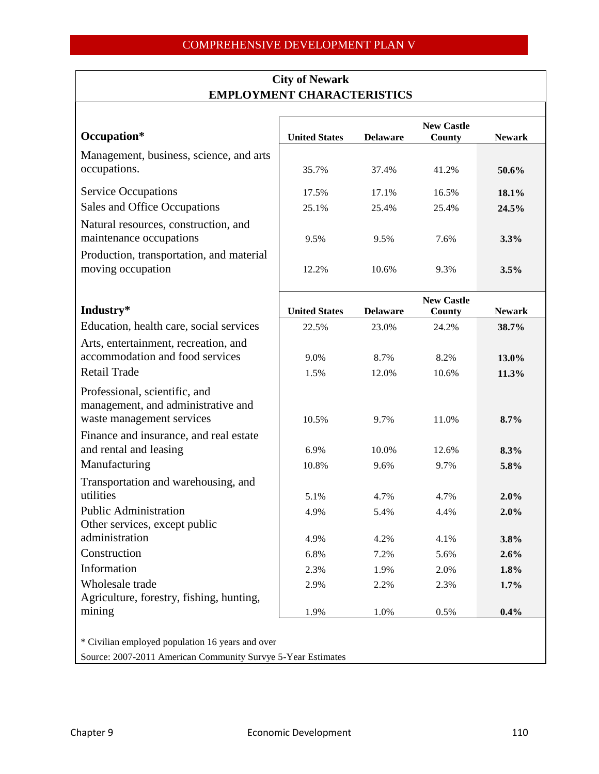| Occupation*                                                                                      | <b>United States</b> | <b>Delaware</b> | <b>New Castle</b><br>County | <b>Newark</b> |
|--------------------------------------------------------------------------------------------------|----------------------|-----------------|-----------------------------|---------------|
| Management, business, science, and arts<br>occupations.                                          |                      |                 |                             |               |
|                                                                                                  | 35.7%                | 37.4%           | 41.2%                       | 50.6%         |
| <b>Service Occupations</b>                                                                       | 17.5%                | 17.1%           | 16.5%                       | 18.1%         |
| Sales and Office Occupations                                                                     | 25.1%                | 25.4%           | 25.4%                       | 24.5%         |
| Natural resources, construction, and<br>maintenance occupations                                  | 9.5%                 | 9.5%            | 7.6%                        | 3.3%          |
| Production, transportation, and material<br>moving occupation                                    | 12.2%                | 10.6%           | 9.3%                        | 3.5%          |
| Industry*                                                                                        | <b>United States</b> | <b>Delaware</b> | <b>New Castle</b><br>County | <b>Newark</b> |
| Education, health care, social services                                                          | 22.5%                | 23.0%           | 24.2%                       | 38.7%         |
| Arts, entertainment, recreation, and<br>accommodation and food services                          | 9.0%                 | 8.7%            | 8.2%                        | 13.0%         |
| <b>Retail Trade</b>                                                                              | 1.5%                 | 12.0%           | 10.6%                       | 11.3%         |
| Professional, scientific, and<br>management, and administrative and<br>waste management services | 10.5%                | 9.7%            | 11.0%                       | 8.7%          |
| Finance and insurance, and real estate                                                           |                      |                 |                             |               |
| and rental and leasing                                                                           | 6.9%                 | 10.0%           | 12.6%                       | 8.3%          |
| Manufacturing                                                                                    | 10.8%                | 9.6%            | 9.7%                        | 5.8%          |
| Transportation and warehousing, and                                                              |                      |                 |                             |               |
| utilities                                                                                        | 5.1%                 | 4.7%            | 4.7%                        | 2.0%          |
| <b>Public Administration</b>                                                                     | 4.9%                 | 5.4%            | 4.4%                        | 2.0%          |
| Other services, except public                                                                    |                      |                 |                             |               |
| administration                                                                                   | 4.9%                 | 4.2%            | 4.1%                        | 3.8%          |
| Construction                                                                                     | 6.8%                 | 7.2%            | 5.6%                        | 2.6%          |
| Information                                                                                      | 2.3%                 | 1.9%            | 2.0%                        | 1.8%          |
| Wholesale trade                                                                                  | 2.9%                 | 2.2%            | 2.3%                        | 1.7%          |
| Agriculture, forestry, fishing, hunting,                                                         |                      |                 |                             |               |
| mining                                                                                           | 1.9%                 | 1.0%            | 0.5%                        | 0.4%          |

# **City of Newark EMPLOYMENT CHARACTERISTICS**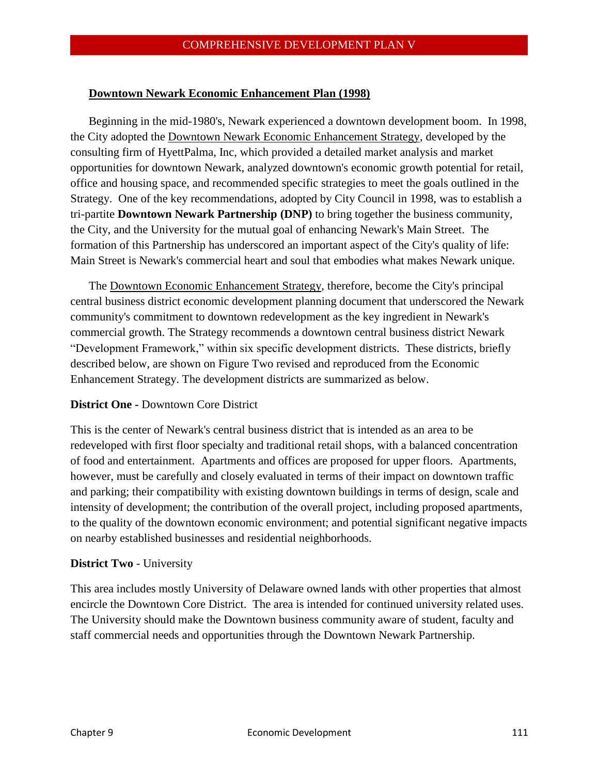#### **Downtown Newark Economic Enhancement Plan (1998)**

Beginning in the mid-1980's, Newark experienced a downtown development boom. In 1998, the City adopted the Downtown Newark Economic Enhancement Strategy, developed by the consulting firm of HyettPalma, Inc, which provided a detailed market analysis and market opportunities for downtown Newark, analyzed downtown's economic growth potential for retail, office and housing space, and recommended specific strategies to meet the goals outlined in the Strategy. One of the key recommendations, adopted by City Council in 1998, was to establish a tri-partite **Downtown Newark Partnership (DNP)** to bring together the business community, the City, and the University for the mutual goal of enhancing Newark's Main Street. The formation of this Partnership has underscored an important aspect of the City's quality of life: Main Street is Newark's commercial heart and soul that embodies what makes Newark unique.

The Downtown Economic Enhancement Strategy, therefore, become the City's principal central business district economic development planning document that underscored the Newark community's commitment to downtown redevelopment as the key ingredient in Newark's commercial growth. The Strategy recommends a downtown central business district Newark "Development Framework," within six specific development districts. These districts, briefly described below, are shown on Figure Two revised and reproduced from the Economic Enhancement Strategy. The development districts are summarized as below.

#### **District One -** Downtown Core District

This is the center of Newark's central business district that is intended as an area to be redeveloped with first floor specialty and traditional retail shops, with a balanced concentration of food and entertainment. Apartments and offices are proposed for upper floors. Apartments, however, must be carefully and closely evaluated in terms of their impact on downtown traffic and parking; their compatibility with existing downtown buildings in terms of design, scale and intensity of development; the contribution of the overall project, including proposed apartments, to the quality of the downtown economic environment; and potential significant negative impacts on nearby established businesses and residential neighborhoods.

#### **District Two** - University

This area includes mostly University of Delaware owned lands with other properties that almost encircle the Downtown Core District. The area is intended for continued university related uses. The University should make the Downtown business community aware of student, faculty and staff commercial needs and opportunities through the Downtown Newark Partnership.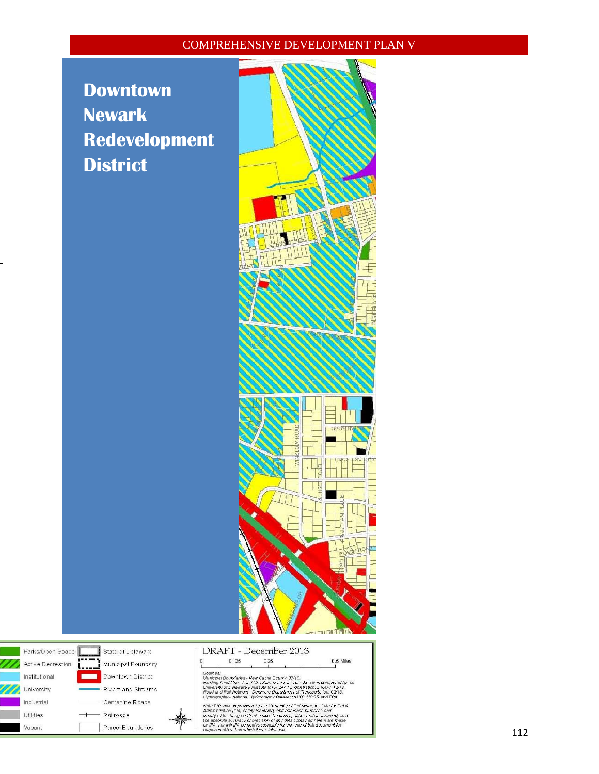# **Downtown Newark Redevelopment District**





|       | DRAFT - December 2013 |  |
|-------|-----------------------|--|
| n 125 |                       |  |



0.5 Miles

Center line Roads<br>
Note: This map is provided by the University of Delaware, Institute for Public<br>
Railroads<br>
Parcel Boundaries<br>
Parcel Boundaries<br>
Parcel Boundaries<br>
Parcel Boundaries<br>
Parcel Boundaries<br>
Parcel Boundarie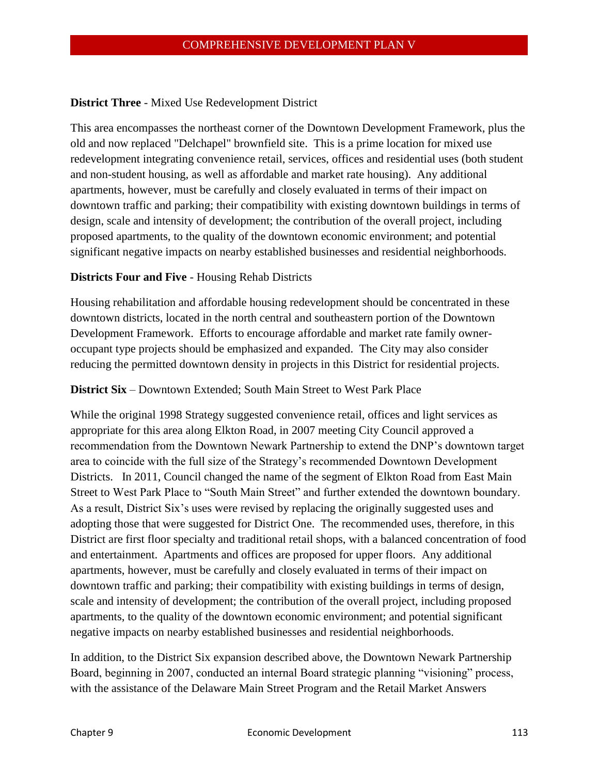# **District Three** - Mixed Use Redevelopment District

This area encompasses the northeast corner of the Downtown Development Framework, plus the old and now replaced "Delchapel" brownfield site. This is a prime location for mixed use redevelopment integrating convenience retail, services, offices and residential uses (both student and non-student housing, as well as affordable and market rate housing). Any additional apartments, however, must be carefully and closely evaluated in terms of their impact on downtown traffic and parking; their compatibility with existing downtown buildings in terms of design, scale and intensity of development; the contribution of the overall project, including proposed apartments, to the quality of the downtown economic environment; and potential significant negative impacts on nearby established businesses and residential neighborhoods.

#### **Districts Four and Five** - Housing Rehab Districts

Housing rehabilitation and affordable housing redevelopment should be concentrated in these downtown districts, located in the north central and southeastern portion of the Downtown Development Framework. Efforts to encourage affordable and market rate family owneroccupant type projects should be emphasized and expanded. The City may also consider reducing the permitted downtown density in projects in this District for residential projects.

#### **District Six** – Downtown Extended; South Main Street to West Park Place

While the original 1998 Strategy suggested convenience retail, offices and light services as appropriate for this area along Elkton Road, in 2007 meeting City Council approved a recommendation from the Downtown Newark Partnership to extend the DNP's downtown target area to coincide with the full size of the Strategy's recommended Downtown Development Districts. In 2011, Council changed the name of the segment of Elkton Road from East Main Street to West Park Place to "South Main Street" and further extended the downtown boundary. As a result, District Six's uses were revised by replacing the originally suggested uses and adopting those that were suggested for District One. The recommended uses, therefore, in this District are first floor specialty and traditional retail shops, with a balanced concentration of food and entertainment. Apartments and offices are proposed for upper floors. Any additional apartments, however, must be carefully and closely evaluated in terms of their impact on downtown traffic and parking; their compatibility with existing buildings in terms of design, scale and intensity of development; the contribution of the overall project, including proposed apartments, to the quality of the downtown economic environment; and potential significant negative impacts on nearby established businesses and residential neighborhoods.

In addition, to the District Six expansion described above, the Downtown Newark Partnership Board, beginning in 2007, conducted an internal Board strategic planning "visioning" process, with the assistance of the Delaware Main Street Program and the Retail Market Answers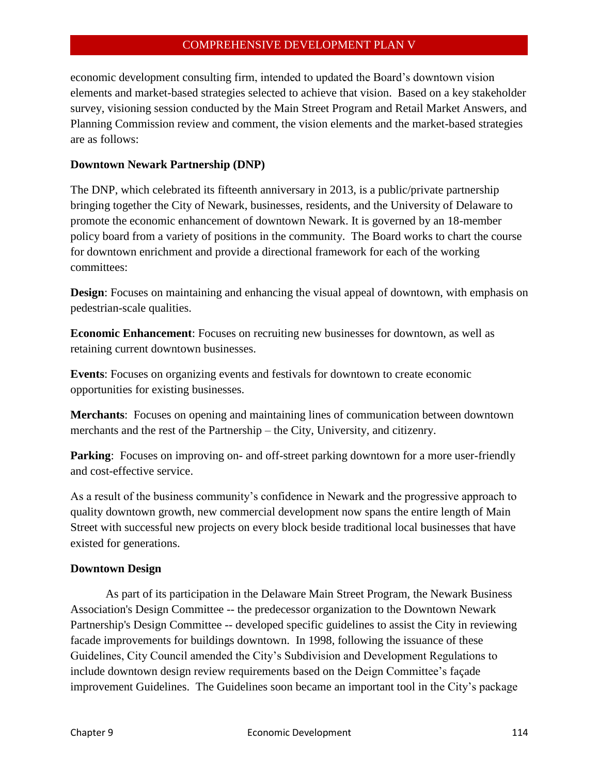economic development consulting firm, intended to updated the Board's downtown vision elements and market-based strategies selected to achieve that vision. Based on a key stakeholder survey, visioning session conducted by the Main Street Program and Retail Market Answers, and Planning Commission review and comment, the vision elements and the market-based strategies are as follows:

# **Downtown Newark Partnership (DNP)**

The DNP, which celebrated its fifteenth anniversary in 2013, is a public/private partnership bringing together the City of Newark, businesses, residents, and the University of Delaware to promote the economic enhancement of downtown Newark. It is governed by an 18-member policy board from a variety of positions in the community. The Board works to chart the course for downtown enrichment and provide a directional framework for each of the working committees:

**Design**: Focuses on maintaining and enhancing the visual appeal of downtown, with emphasis on pedestrian-scale qualities.

**Economic Enhancement**: Focuses on recruiting new businesses for downtown, as well as retaining current downtown businesses.

**Events**: Focuses on organizing events and festivals for downtown to create economic opportunities for existing businesses.

**Merchants**: Focuses on opening and maintaining lines of communication between downtown merchants and the rest of the Partnership – the City, University, and citizenry.

**Parking**: Focuses on improving on- and off-street parking downtown for a more user-friendly and cost-effective service.

As a result of the business community's confidence in Newark and the progressive approach to quality downtown growth, new commercial development now spans the entire length of Main Street with successful new projects on every block beside traditional local businesses that have existed for generations.

# **Downtown Design**

As part of its participation in the Delaware Main Street Program, the Newark Business Association's Design Committee -- the predecessor organization to the Downtown Newark Partnership's Design Committee -- developed specific guidelines to assist the City in reviewing facade improvements for buildings downtown. In 1998, following the issuance of these Guidelines, City Council amended the City's Subdivision and Development Regulations to include downtown design review requirements based on the Deign Committee's façade improvement Guidelines. The Guidelines soon became an important tool in the City's package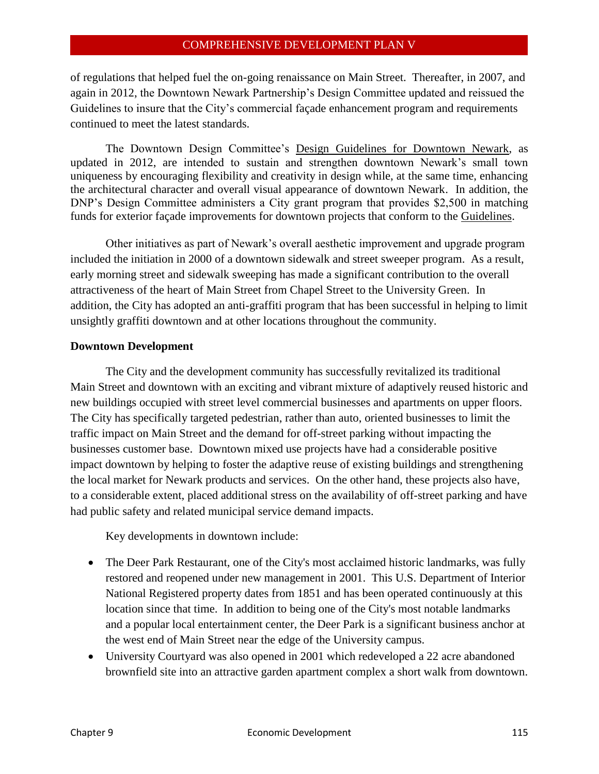of regulations that helped fuel the on-going renaissance on Main Street. Thereafter, in 2007, and again in 2012, the Downtown Newark Partnership's Design Committee updated and reissued the Guidelines to insure that the City's commercial façade enhancement program and requirements continued to meet the latest standards.

The Downtown Design Committee's Design Guidelines for Downtown Newark, as updated in 2012, are intended to sustain and strengthen downtown Newark's small town uniqueness by encouraging flexibility and creativity in design while, at the same time, enhancing the architectural character and overall visual appearance of downtown Newark. In addition, the DNP's Design Committee administers a City grant program that provides \$2,500 in matching funds for exterior façade improvements for downtown projects that conform to the Guidelines.

Other initiatives as part of Newark's overall aesthetic improvement and upgrade program included the initiation in 2000 of a downtown sidewalk and street sweeper program. As a result, early morning street and sidewalk sweeping has made a significant contribution to the overall attractiveness of the heart of Main Street from Chapel Street to the University Green. In addition, the City has adopted an anti-graffiti program that has been successful in helping to limit unsightly graffiti downtown and at other locations throughout the community.

#### **Downtown Development**

The City and the development community has successfully revitalized its traditional Main Street and downtown with an exciting and vibrant mixture of adaptively reused historic and new buildings occupied with street level commercial businesses and apartments on upper floors. The City has specifically targeted pedestrian, rather than auto, oriented businesses to limit the traffic impact on Main Street and the demand for off-street parking without impacting the businesses customer base. Downtown mixed use projects have had a considerable positive impact downtown by helping to foster the adaptive reuse of existing buildings and strengthening the local market for Newark products and services. On the other hand, these projects also have, to a considerable extent, placed additional stress on the availability of off-street parking and have had public safety and related municipal service demand impacts.

Key developments in downtown include:

- The Deer Park Restaurant, one of the City's most acclaimed historic landmarks, was fully restored and reopened under new management in 2001. This U.S. Department of Interior National Registered property dates from 1851 and has been operated continuously at this location since that time. In addition to being one of the City's most notable landmarks and a popular local entertainment center, the Deer Park is a significant business anchor at the west end of Main Street near the edge of the University campus.
- University Courtyard was also opened in 2001 which redeveloped a 22 acre abandoned brownfield site into an attractive garden apartment complex a short walk from downtown.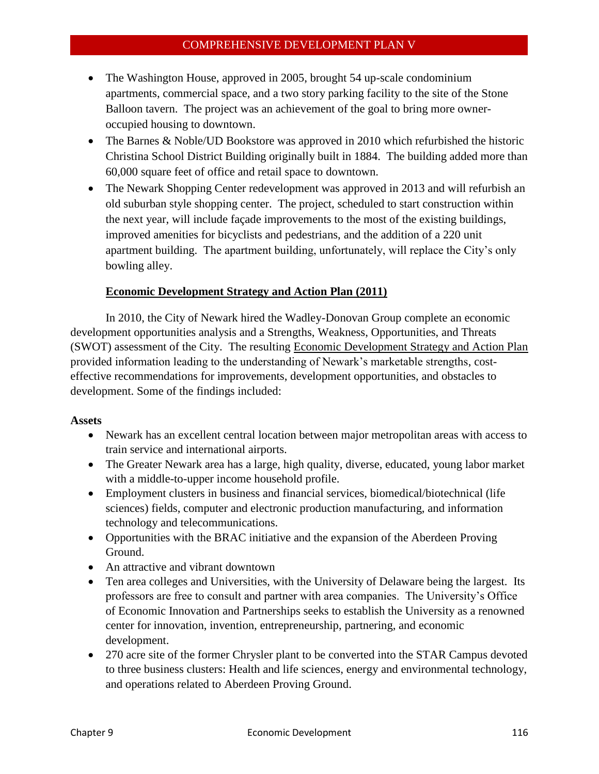- The Washington House, approved in 2005, brought 54 up-scale condominium apartments, commercial space, and a two story parking facility to the site of the Stone Balloon tavern. The project was an achievement of the goal to bring more owneroccupied housing to downtown.
- The Barnes & Noble/UD Bookstore was approved in 2010 which refurbished the historic Christina School District Building originally built in 1884. The building added more than 60,000 square feet of office and retail space to downtown.
- The Newark Shopping Center redevelopment was approved in 2013 and will refurbish an old suburban style shopping center. The project, scheduled to start construction within the next year, will include façade improvements to the most of the existing buildings, improved amenities for bicyclists and pedestrians, and the addition of a 220 unit apartment building. The apartment building, unfortunately, will replace the City's only bowling alley.

# **Economic Development Strategy and Action Plan (2011)**

In 2010, the City of Newark hired the Wadley-Donovan Group complete an economic development opportunities analysis and a Strengths, Weakness, Opportunities, and Threats (SWOT) assessment of the City. The resulting Economic Development Strategy and Action Plan provided information leading to the understanding of Newark's marketable strengths, costeffective recommendations for improvements, development opportunities, and obstacles to development. Some of the findings included:

# **Assets**

- Newark has an excellent central location between major metropolitan areas with access to train service and international airports.
- The Greater Newark area has a large, high quality, diverse, educated, young labor market with a middle-to-upper income household profile.
- Employment clusters in business and financial services, biomedical/biotechnical (life sciences) fields, computer and electronic production manufacturing, and information technology and telecommunications.
- Opportunities with the BRAC initiative and the expansion of the Aberdeen Proving Ground.
- An attractive and vibrant downtown
- Ten area colleges and Universities, with the University of Delaware being the largest. Its professors are free to consult and partner with area companies. The University's Office of Economic Innovation and Partnerships seeks to establish the University as a renowned center for innovation, invention, entrepreneurship, partnering, and economic development.
- 270 acre site of the former Chrysler plant to be converted into the STAR Campus devoted to three business clusters: Health and life sciences, energy and environmental technology, and operations related to Aberdeen Proving Ground.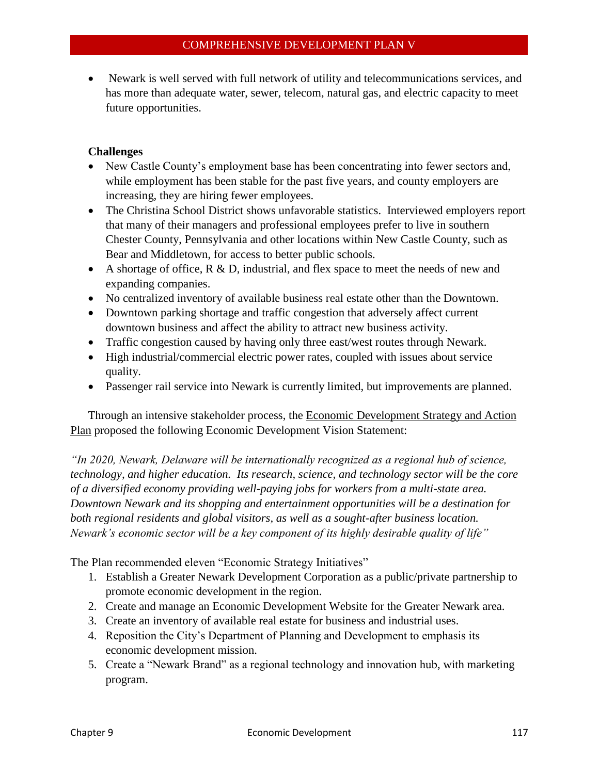Newark is well served with full network of utility and telecommunications services, and has more than adequate water, sewer, telecom, natural gas, and electric capacity to meet future opportunities.

# **Challenges**

- New Castle County's employment base has been concentrating into fewer sectors and, while employment has been stable for the past five years, and county employers are increasing, they are hiring fewer employees.
- The Christina School District shows unfavorable statistics. Interviewed employers report that many of their managers and professional employees prefer to live in southern Chester County, Pennsylvania and other locations within New Castle County, such as Bear and Middletown, for access to better public schools.
- A shortage of office,  $R \& D$ , industrial, and flex space to meet the needs of new and expanding companies.
- No centralized inventory of available business real estate other than the Downtown.
- Downtown parking shortage and traffic congestion that adversely affect current downtown business and affect the ability to attract new business activity.
- Traffic congestion caused by having only three east/west routes through Newark.
- High industrial/commercial electric power rates, coupled with issues about service quality.
- Passenger rail service into Newark is currently limited, but improvements are planned.

Through an intensive stakeholder process, the Economic Development Strategy and Action Plan proposed the following Economic Development Vision Statement:

*"In 2020, Newark, Delaware will be internationally recognized as a regional hub of science, technology, and higher education. Its research, science, and technology sector will be the core of a diversified economy providing well-paying jobs for workers from a multi-state area. Downtown Newark and its shopping and entertainment opportunities will be a destination for both regional residents and global visitors, as well as a sought-after business location. Newark's economic sector will be a key component of its highly desirable quality of life"* 

The Plan recommended eleven "Economic Strategy Initiatives"

- 1. Establish a Greater Newark Development Corporation as a public/private partnership to promote economic development in the region.
- 2. Create and manage an Economic Development Website for the Greater Newark area.
- 3. Create an inventory of available real estate for business and industrial uses.
- 4. Reposition the City's Department of Planning and Development to emphasis its economic development mission.
- 5. Create a "Newark Brand" as a regional technology and innovation hub, with marketing program.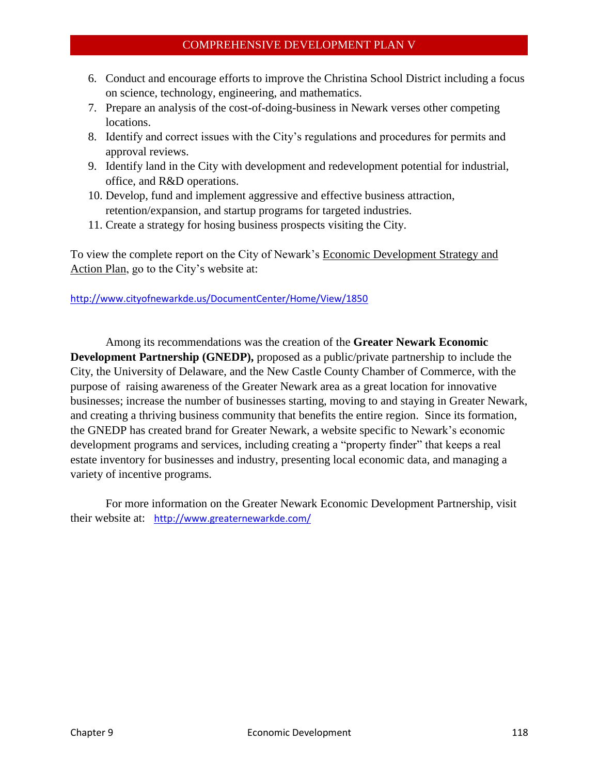- 6. Conduct and encourage efforts to improve the Christina School District including a focus on science, technology, engineering, and mathematics.
- 7. Prepare an analysis of the cost-of-doing-business in Newark verses other competing locations.
- 8. Identify and correct issues with the City's regulations and procedures for permits and approval reviews.
- 9. Identify land in the City with development and redevelopment potential for industrial, office, and R&D operations.
- 10. Develop, fund and implement aggressive and effective business attraction, retention/expansion, and startup programs for targeted industries.
- 11. Create a strategy for hosing business prospects visiting the City.

To view the complete report on the City of Newark's Economic Development Strategy and Action Plan, go to the City's website at:

# <http://www.cityofnewarkde.us/DocumentCenter/Home/View/1850>

Among its recommendations was the creation of the **Greater Newark Economic Development Partnership (GNEDP),** proposed as a public/private partnership to include the City, the University of Delaware, and the New Castle County Chamber of Commerce, with the purpose of raising awareness of the Greater Newark area as a great location for innovative businesses; increase the number of businesses starting, moving to and staying in Greater Newark, and creating a thriving business community that benefits the entire region. Since its formation, the GNEDP has created brand for Greater Newark, a website specific to Newark's economic development programs and services, including creating a "property finder" that keeps a real estate inventory for businesses and industry, presenting local economic data, and managing a variety of incentive programs.

For more information on the Greater Newark Economic Development Partnership, visit their website at: <http://www.greaternewarkde.com/>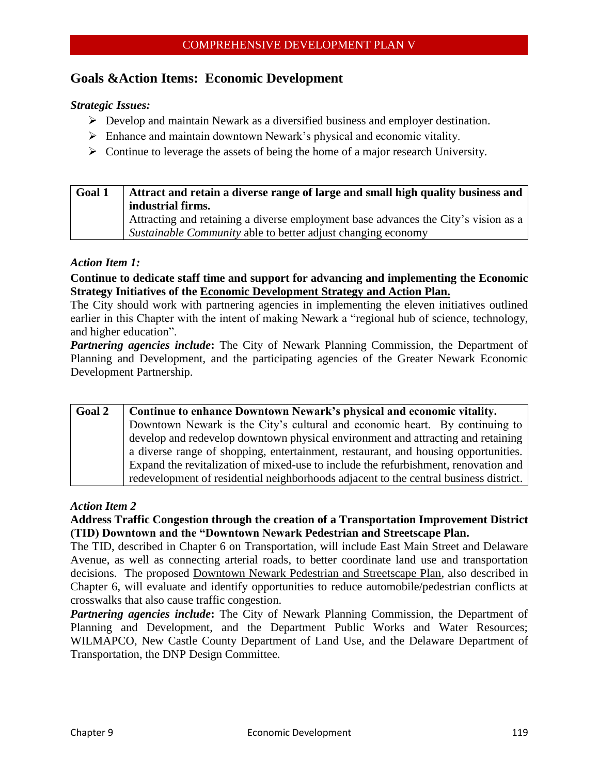# **Goals &Action Items: Economic Development**

#### *Strategic Issues:*

- $\triangleright$  Develop and maintain Newark as a diversified business and employer destination.
- Enhance and maintain downtown Newark's physical and economic vitality.
- $\triangleright$  Continue to leverage the assets of being the home of a major research University.

| Goal 1 | Attract and retain a diverse range of large and small high quality business and    |  |
|--------|------------------------------------------------------------------------------------|--|
|        | industrial firms.                                                                  |  |
|        | Attracting and retaining a diverse employment base advances the City's vision as a |  |
|        | Sustainable Community able to better adjust changing economy                       |  |

#### *Action Item 1:*

**Continue to dedicate staff time and support for advancing and implementing the Economic Strategy Initiatives of the Economic Development Strategy and Action Plan.**

The City should work with partnering agencies in implementing the eleven initiatives outlined earlier in this Chapter with the intent of making Newark a "regional hub of science, technology, and higher education".

*Partnering agencies include***:** The City of Newark Planning Commission, the Department of Planning and Development, and the participating agencies of the Greater Newark Economic Development Partnership.

| <b>Goal 2</b> | Continue to enhance Downtown Newark's physical and economic vitality.                 |
|---------------|---------------------------------------------------------------------------------------|
|               | Downtown Newark is the City's cultural and economic heart. By continuing to           |
|               | develop and redevelop downtown physical environment and attracting and retaining      |
|               | a diverse range of shopping, entertainment, restaurant, and housing opportunities.    |
|               | Expand the revitalization of mixed-use to include the refurbishment, renovation and   |
|               | redevelopment of residential neighborhoods adjacent to the central business district. |

#### *Action Item 2*

# **Address Traffic Congestion through the creation of a Transportation Improvement District (TID) Downtown and the "Downtown Newark Pedestrian and Streetscape Plan.**

The TID, described in Chapter 6 on Transportation, will include East Main Street and Delaware Avenue, as well as connecting arterial roads, to better coordinate land use and transportation decisions. The proposed Downtown Newark Pedestrian and Streetscape Plan, also described in Chapter 6, will evaluate and identify opportunities to reduce automobile/pedestrian conflicts at crosswalks that also cause traffic congestion.

*Partnering agencies include***:** The City of Newark Planning Commission, the Department of Planning and Development, and the Department Public Works and Water Resources; WILMAPCO, New Castle County Department of Land Use, and the Delaware Department of Transportation, the DNP Design Committee.